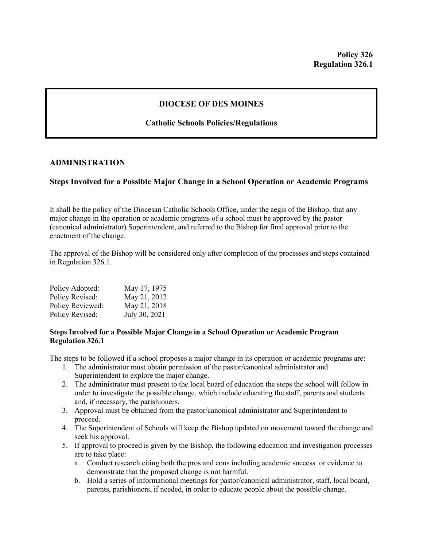## **DIOCESE OF DES MOINES**

# **Catholic Schools Policies/Regulations**

## **ADMINISTRATION**

## **Steps Involved for a Possible Major Change in a School Operation or Academic Programs**

It shall be the policy of the Diocesan Catholic Schools Office, under the aegis of the Bishop, that any major change in the operation or academic programs of a school must be approved by the pastor (canonical administrator) Superintendent, and referred to the Bishop for final approval prior to the enactment of the change.

The approval of the Bishop will be considered only after completion of the processes and steps contained in Regulation 326.1.

| Policy Adopted:  | May 17, 1975  |
|------------------|---------------|
| Policy Revised:  | May 21, 2012  |
| Policy Reviewed: | May 21, 2018  |
| Policy Revised:  | July 30, 2021 |

### **Steps Involved for a Possible Major Change in a School Operation or Academic Program Regulation 326.1**

The steps to be followed if a school proposes a major change in its operation or academic programs are:

- 1. The administrator must obtain permission of the pastor/canonical administrator and Superintendent to explore the major change.
- 2. The administrator must present to the local board of education the steps the school will follow in order to investigate the possible change, which include educating the staff, parents and students and, if necessary, the parishioners.
- 3. Approval must be obtained from the pastor/canonical administrator and Superintendent to proceed.
- 4. The Superintendent of Schools will keep the Bishop updated on movement toward the change and seek his approval.
- 5. If approval to proceed is given by the Bishop, the following education and investigation processes are to take place:
	- a. Conduct research citing both the pros and cons including academic success or evidence to demonstrate that the proposed change is not harmful.
	- b. Hold a series of informational meetings for pastor/canonical administrator, staff, local board, parents, parishioners, if needed, in order to educate people about the possible change.